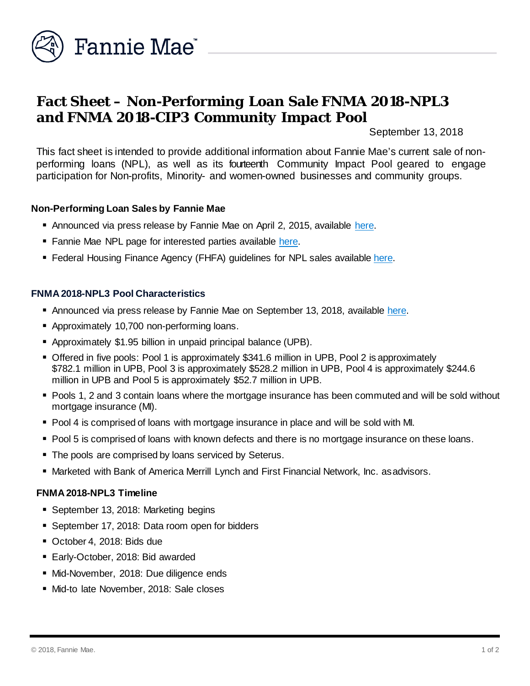

# **Fact Sheet – Non-Performing Loan Sale FNMA 2018-NPL3 and FNMA 2018-CIP3 Community Impact Pool**

September 13, 2018

This fact sheet is intended to provide additional information about Fannie Mae's current sale of nonperforming loans (NPL), as well as its fourteenth Community Impact Pool geared to engage participation for Non-profits, Minority- and women-owned businesses and community groups.

#### **Non-Performing Loan Sales by Fannie Mae**

- **Announced via press release by Fannie Mae on April 2, 2015, available [here.](http://www.fanniemae.com/portal/media/financial-news/2015/6233.html)**
- Fannie Mae NPL page for interested parties available [here.](http://www.fanniemae.com/portal/funding-the-market/npl/index.html)
- **Federal Housing Finance Agency (FHFA) guidelines for NPL sales available [here.](http://www.fhfa.gov/Media/PublicAffairs/Pages/Non-Performing-Loan-%28NPL%29-Sale-Requirements.aspx)**

#### **FNMA 2018-NPL3 Pool Characteristics**

- Announced via press release by Fannie Mae on September 13, 2018, available [here.](http://www.fanniemae.com/portal/media/financial-news/2018/nonperforming-loan-sale-6755.html)
- **Approximately 10,700 non-performing loans.**
- Approximately \$1.95 billion in unpaid principal balance (UPB).
- Offered in five pools: Pool 1 is approximately \$341.6 million in UPB, Pool 2 is approximately \$782.1 million in UPB, Pool 3 is approximately \$528.2 million in UPB, Pool 4 is approximately \$244.6 million in UPB and Pool 5 is approximately \$52.7 million in UPB.
- Pools 1, 2 and 3 contain loans where the mortgage insurance has been commuted and will be sold without mortgage insurance (MI).
- **Pool 4 is comprised of loans with mortgage insurance in place and will be sold with MI.**
- **Pool 5 is comprised of loans with known defects and there is no mortgage insurance on these loans.**
- The pools are comprised by loans serviced by Seterus.
- Marketed with Bank of America Merrill Lynch and First Financial Network, Inc. asadvisors.

#### **FNMA 2018-NPL3 Timeline**

- September 13, 2018: Marketing begins
- September 17, 2018: Data room open for bidders
- October 4, 2018: Bids due
- **Early-October, 2018: Bid awarded**
- Mid-November, 2018: Due diligence ends
- **Mid-to late November, 2018: Sale closes**